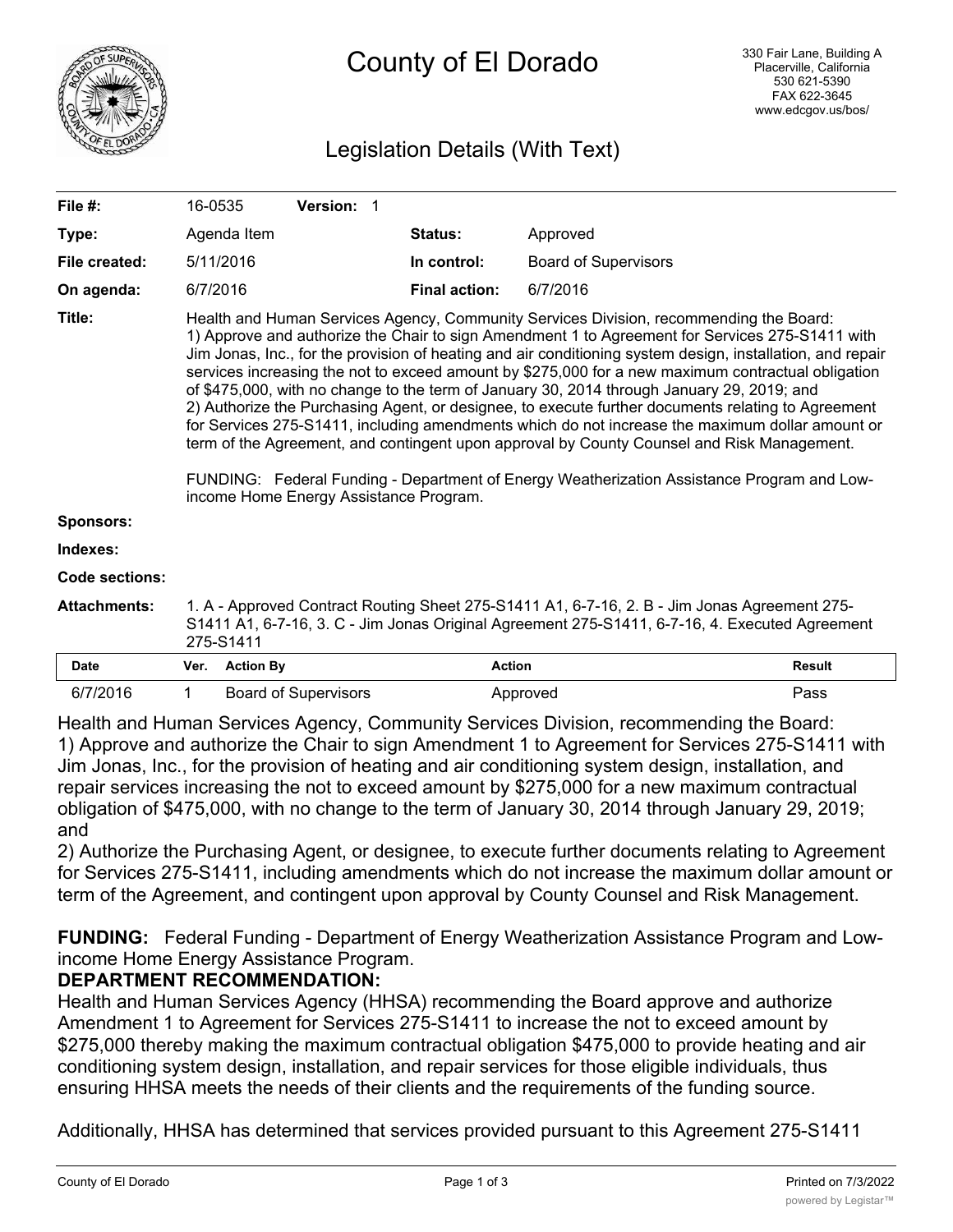

# Legislation Details (With Text)

| File #:        | 16-0535                                                                                                                                                                                                                                                                                                                                                                                                                                                                                                                                                                                                                                                                                                                                                                                                                                                                                                                                                    |                  |                             | Version: 1 |  |                      |                             |               |
|----------------|------------------------------------------------------------------------------------------------------------------------------------------------------------------------------------------------------------------------------------------------------------------------------------------------------------------------------------------------------------------------------------------------------------------------------------------------------------------------------------------------------------------------------------------------------------------------------------------------------------------------------------------------------------------------------------------------------------------------------------------------------------------------------------------------------------------------------------------------------------------------------------------------------------------------------------------------------------|------------------|-----------------------------|------------|--|----------------------|-----------------------------|---------------|
| Type:          |                                                                                                                                                                                                                                                                                                                                                                                                                                                                                                                                                                                                                                                                                                                                                                                                                                                                                                                                                            | Agenda Item      |                             |            |  | Status:              | Approved                    |               |
| File created:  |                                                                                                                                                                                                                                                                                                                                                                                                                                                                                                                                                                                                                                                                                                                                                                                                                                                                                                                                                            | 5/11/2016        |                             |            |  | In control:          | <b>Board of Supervisors</b> |               |
| On agenda:     | 6/7/2016                                                                                                                                                                                                                                                                                                                                                                                                                                                                                                                                                                                                                                                                                                                                                                                                                                                                                                                                                   |                  |                             |            |  | <b>Final action:</b> | 6/7/2016                    |               |
| Title:         | Health and Human Services Agency, Community Services Division, recommending the Board:<br>1) Approve and authorize the Chair to sign Amendment 1 to Agreement for Services 275-S1411 with<br>Jim Jonas, Inc., for the provision of heating and air conditioning system design, installation, and repair<br>services increasing the not to exceed amount by \$275,000 for a new maximum contractual obligation<br>of \$475,000, with no change to the term of January 30, 2014 through January 29, 2019; and<br>2) Authorize the Purchasing Agent, or designee, to execute further documents relating to Agreement<br>for Services 275-S1411, including amendments which do not increase the maximum dollar amount or<br>term of the Agreement, and contingent upon approval by County Counsel and Risk Management.<br>FUNDING: Federal Funding - Department of Energy Weatherization Assistance Program and Low-<br>income Home Energy Assistance Program. |                  |                             |            |  |                      |                             |               |
| Sponsors:      |                                                                                                                                                                                                                                                                                                                                                                                                                                                                                                                                                                                                                                                                                                                                                                                                                                                                                                                                                            |                  |                             |            |  |                      |                             |               |
| Indexes:       |                                                                                                                                                                                                                                                                                                                                                                                                                                                                                                                                                                                                                                                                                                                                                                                                                                                                                                                                                            |                  |                             |            |  |                      |                             |               |
| Code sections: |                                                                                                                                                                                                                                                                                                                                                                                                                                                                                                                                                                                                                                                                                                                                                                                                                                                                                                                                                            |                  |                             |            |  |                      |                             |               |
| Attachments:   | 1. A - Approved Contract Routing Sheet 275-S1411 A1, 6-7-16, 2. B - Jim Jonas Agreement 275-<br>S1411 A1, 6-7-16, 3. C - Jim Jonas Original Agreement 275-S1411, 6-7-16, 4. Executed Agreement<br>275-S1411                                                                                                                                                                                                                                                                                                                                                                                                                                                                                                                                                                                                                                                                                                                                                |                  |                             |            |  |                      |                             |               |
| <b>Date</b>    | Ver.                                                                                                                                                                                                                                                                                                                                                                                                                                                                                                                                                                                                                                                                                                                                                                                                                                                                                                                                                       | <b>Action By</b> |                             |            |  |                      | <b>Action</b>               | <b>Result</b> |
| 6/7/2016       | 1                                                                                                                                                                                                                                                                                                                                                                                                                                                                                                                                                                                                                                                                                                                                                                                                                                                                                                                                                          |                  | <b>Board of Supervisors</b> |            |  |                      | Approved                    | Pass          |

Health and Human Services Agency, Community Services Division, recommending the Board: 1) Approve and authorize the Chair to sign Amendment 1 to Agreement for Services 275-S1411 with Jim Jonas, Inc., for the provision of heating and air conditioning system design, installation, and repair services increasing the not to exceed amount by \$275,000 for a new maximum contractual obligation of \$475,000, with no change to the term of January 30, 2014 through January 29, 2019; and

2) Authorize the Purchasing Agent, or designee, to execute further documents relating to Agreement for Services 275-S1411, including amendments which do not increase the maximum dollar amount or term of the Agreement, and contingent upon approval by County Counsel and Risk Management.

**FUNDING:** Federal Funding - Department of Energy Weatherization Assistance Program and Lowincome Home Energy Assistance Program.

## **DEPARTMENT RECOMMENDATION:**

Health and Human Services Agency (HHSA) recommending the Board approve and authorize Amendment 1 to Agreement for Services 275-S1411 to increase the not to exceed amount by \$275,000 thereby making the maximum contractual obligation \$475,000 to provide heating and air conditioning system design, installation, and repair services for those eligible individuals, thus ensuring HHSA meets the needs of their clients and the requirements of the funding source.

Additionally, HHSA has determined that services provided pursuant to this Agreement 275-S1411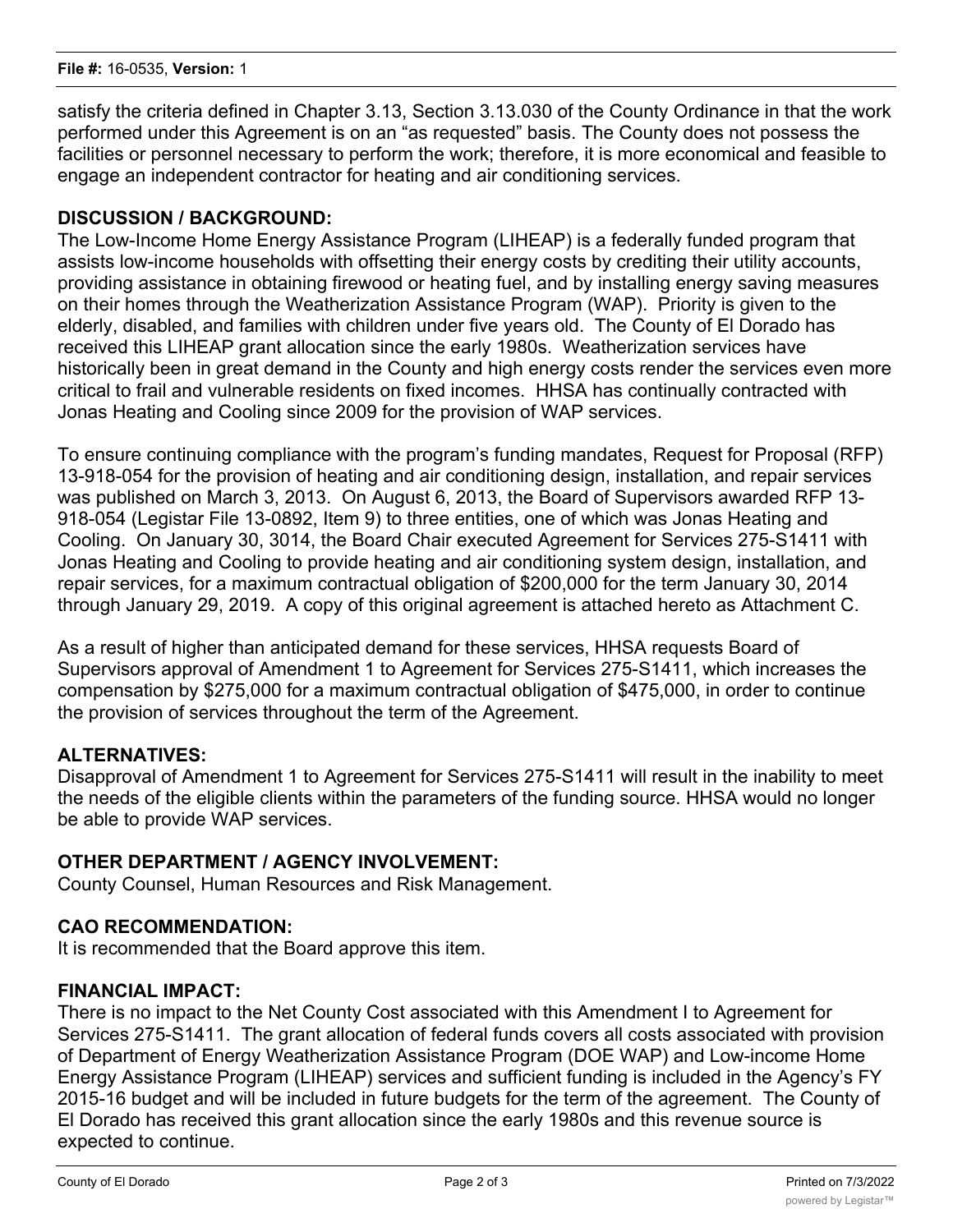satisfy the criteria defined in Chapter 3.13, Section 3.13.030 of the County Ordinance in that the work performed under this Agreement is on an "as requested" basis. The County does not possess the facilities or personnel necessary to perform the work; therefore, it is more economical and feasible to engage an independent contractor for heating and air conditioning services.

### **DISCUSSION / BACKGROUND:**

The Low-Income Home Energy Assistance Program (LIHEAP) is a federally funded program that assists low-income households with offsetting their energy costs by crediting their utility accounts, providing assistance in obtaining firewood or heating fuel, and by installing energy saving measures on their homes through the Weatherization Assistance Program (WAP). Priority is given to the elderly, disabled, and families with children under five years old. The County of El Dorado has received this LIHEAP grant allocation since the early 1980s. Weatherization services have historically been in great demand in the County and high energy costs render the services even more critical to frail and vulnerable residents on fixed incomes. HHSA has continually contracted with Jonas Heating and Cooling since 2009 for the provision of WAP services.

To ensure continuing compliance with the program's funding mandates, Request for Proposal (RFP) 13-918-054 for the provision of heating and air conditioning design, installation, and repair services was published on March 3, 2013. On August 6, 2013, the Board of Supervisors awarded RFP 13- 918-054 (Legistar File 13-0892, Item 9) to three entities, one of which was Jonas Heating and Cooling. On January 30, 3014, the Board Chair executed Agreement for Services 275-S1411 with Jonas Heating and Cooling to provide heating and air conditioning system design, installation, and repair services, for a maximum contractual obligation of \$200,000 for the term January 30, 2014 through January 29, 2019. A copy of this original agreement is attached hereto as Attachment C.

As a result of higher than anticipated demand for these services, HHSA requests Board of Supervisors approval of Amendment 1 to Agreement for Services 275-S1411, which increases the compensation by \$275,000 for a maximum contractual obligation of \$475,000, in order to continue the provision of services throughout the term of the Agreement.

## **ALTERNATIVES:**

Disapproval of Amendment 1 to Agreement for Services 275-S1411 will result in the inability to meet the needs of the eligible clients within the parameters of the funding source. HHSA would no longer be able to provide WAP services.

### **OTHER DEPARTMENT / AGENCY INVOLVEMENT:**

County Counsel, Human Resources and Risk Management.

### **CAO RECOMMENDATION:**

It is recommended that the Board approve this item.

### **FINANCIAL IMPACT:**

There is no impact to the Net County Cost associated with this Amendment I to Agreement for Services 275-S1411. The grant allocation of federal funds covers all costs associated with provision of Department of Energy Weatherization Assistance Program (DOE WAP) and Low-income Home Energy Assistance Program (LIHEAP) services and sufficient funding is included in the Agency's FY 2015-16 budget and will be included in future budgets for the term of the agreement. The County of El Dorado has received this grant allocation since the early 1980s and this revenue source is expected to continue.